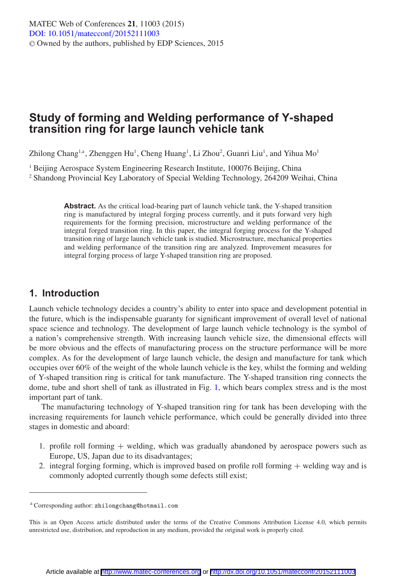## **Study of forming and Welding performance of Y-shaped transition ring for large launch vehicle tank**

Zhilong Chang<sup>1,a</sup>, Zhenggen Hu<sup>1</sup>, Cheng Huang<sup>1</sup>, Li Zhou<sup>2</sup>, Guanri Liu<sup>1</sup>, and Yihua Mo<sup>1</sup>

<sup>1</sup> Beijing Aerospace System Engineering Research Institute,  $100076$  Beijing, China <sup>2</sup> Shandong Provincial Key Laboratory of Special Welding Technology, 264209 Weihai, China

> Abstract. As the critical load-bearing part of launch vehicle tank, the Y-shaped transition ring is manufactured by integral forging process currently, and it puts forward very high requirements for the forming precision, microstructure and welding performance of the integral forged transition ring. In this paper, the integral forging process for the Y-shaped transition ring of large launch vehicle tank is studied. Microstructure, mechanical properties and welding performance of the transition ring are analyzed. Improvement measures for integral forging process of large Y-shaped transition ring are proposed.

### **1. Introduction**

Launch vehicle technology decides a country's ability to enter into space and development potential in the future, which is the indispensable guaranty for significant improvement of overall level of national space science and technology. The development of large launch vehicle technology is the symbol of a nation's comprehensive strength. With increasing launch vehicle size, the dimensional effects will be more obvious and the effects of manufacturing process on the structure performance will be more complex. As for the development of large launch vehicle, the design and manufacture for tank which occupies over 60% of the weight of the whole launch vehicle is the key, whilst the forming and welding of Y-shaped transition ring is critical for tank manufacture. The Y-shaped transition ring connects the dome, tube and short shell of tank as illustrated in Fig. [1,](#page-1-0) which bears complex stress and is the most important part of tank.

The manufacturing technology of Y-shaped transition ring for tank has been developing with the increasing requirements for launch vehicle performance, which could be generally divided into three stages in domestic and aboard:

- 1. profile roll forming + welding, which was gradually abandoned by aerospace powers such as Europe, US, Japan due to its disadvantages;
- 2. integral forging forming, which is improved based on profile roll forming + welding way and is commonly adopted currently though some defects still exist;

<sup>a</sup> Corresponding author: zhilongchang@hotmail.com

This is an Open Access article distributed under the terms of the Creative Commons Attribution License 4.0, which permits unrestricted use, distribution, and reproduction in any medium, provided the original work is properly cited.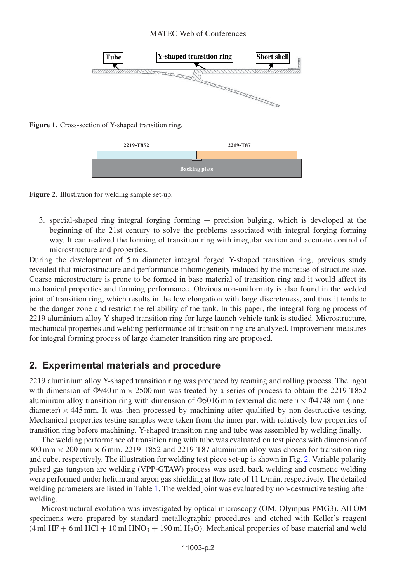#### MATEC Web of Conferences

<span id="page-1-0"></span>



<span id="page-1-1"></span>

3. special-shaped ring integral forging forming + precision bulging, which is developed at the beginning of the 21st century to solve the problems associated with integral forging forming way. It can realized the forming of transition ring with irregular section and accurate control of microstructure and properties.

During the development of 5 m diameter integral forged Y-shaped transition ring, previous study revealed that microstructure and performance inhomogeneity induced by the increase of structure size. Coarse microstructure is prone to be formed in base material of transition ring and it would affect its mechanical properties and forming performance. Obvious non-uniformity is also found in the welded joint of transition ring, which results in the low elongation with large discreteness, and thus it tends to be the danger zone and restrict the reliability of the tank. In this paper, the integral forging process of 2219 aluminium alloy Y-shaped transition ring for large launch vehicle tank is studied. Microstructure, mechanical properties and welding performance of transition ring are analyzed. Improvement measures for integral forming process of large diameter transition ring are proposed.

### **2. Experimental materials and procedure**

2219 aluminium alloy Y-shaped transition ring was produced by reaming and rolling process. The ingot with dimension of  $\Phi$ 940 mm  $\times$  2500 mm was treated by a series of process to obtain the 2219-T852 aluminium alloy transition ring with dimension of  $\Phi$ 5016 mm (external diameter)  $\times$   $\Phi$ 4748 mm (inner diameter)  $\times$  445 mm. It was then processed by machining after qualified by non-destructive testing. Mechanical properties testing samples were taken from the inner part with relatively low properties of transition ring before machining. Y-shaped transition ring and tube was assembled by welding finally.

The welding performance of transition ring with tube was evaluated on test pieces with dimension of  $300 \text{ mm} \times 200 \text{ mm} \times 6 \text{ mm}$ . 2219-T852 and 2219-T87 aluminium alloy was chosen for transition ring and cube, respectively. The illustration for welding test piece set-up is shown in Fig. [2.](#page-1-1) Variable polarity pulsed gas tungsten arc welding (VPP-GTAW) process was used. back welding and cosmetic welding were performed under helium and argon gas shielding at flow rate of 11 L/min, respectively. The detailed welding parameters are listed in Table [1.](#page-2-0) The welded joint was evaluated by non-destructive testing after welding.

Microstructural evolution was investigated by optical microscopy (OM, Olympus-PMG3). All OM specimens were prepared by standard metallographic procedures and etched with Keller's reagent  $(4 \text{ ml HF} + 6 \text{ ml HCl} + 10 \text{ ml HNO}_3 + 190 \text{ ml H}_2O)$ . Mechanical properties of base material and weld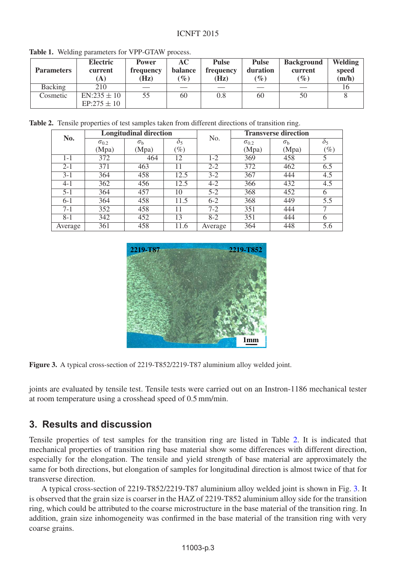#### ICNFT 2015

| <b>Parameters</b> | <b>Electric</b><br>current<br>A)   | Power<br>frequency<br>(Hz) | AC.<br>balance<br>$\%$ | <b>Pulse</b><br>frequency<br>(Hz) | <b>Pulse</b><br>duration<br>$\mathscr{G}_o$ | <b>Background</b><br>current<br>$($ %) | Welding<br>speed<br>(m/h) |
|-------------------|------------------------------------|----------------------------|------------------------|-----------------------------------|---------------------------------------------|----------------------------------------|---------------------------|
| <b>Backing</b>    | 210                                |                            |                        |                                   |                                             |                                        |                           |
| Cosmetic          | $EN:235 \pm 10$<br>$EP:275 \pm 10$ | 55                         | 60                     | 0.8                               | 60                                          | 50                                     |                           |

<span id="page-2-0"></span>**Table 1.** Welding parameters for VPP-GTAW process.

<span id="page-2-2"></span><span id="page-2-1"></span>**Table 2.** Tensile properties of test samples taken from different directions of transition ring.

| No.     | <b>Longitudinal direction</b> |                  |                | No.     | <b>Transverse direction</b> |                  |                  |
|---------|-------------------------------|------------------|----------------|---------|-----------------------------|------------------|------------------|
|         | $\sigma_{0.2}$                | $\sigma_{\rm h}$ | O <sub>5</sub> |         | $\sigma_{0.2}$              | $\sigma_{\rm h}$ | $\delta_5$       |
|         | (Mpa)                         | (Mpa)            | $(\%)$         |         | (Mpa)                       | (Mpa)            | $(\%)$           |
| $1 - 1$ | 372                           | 464              | 12             | $1-2$   | 369                         | 458              | 5                |
| $2 - 1$ | 371                           | 463              | 11             | $2 - 2$ | 372                         | 462              | 6.5              |
| $3-1$   | 364                           | 458              | 12.5           | $3-2$   | 367                         | 444              | 4.5              |
| $4 - 1$ | 362                           | 456              | 12.5           | $4 - 2$ | 366                         | 432              | 4.5              |
| $5 - 1$ | 364                           | 457              | 10             | $5 - 2$ | 368                         | 452              | 6                |
| $6-1$   | 364                           | 458              | 11.5           | $6 - 2$ | 368                         | 449              | $\overline{5.5}$ |
| $7 - 1$ | 352                           | 458              | 11             | $7 - 2$ | 351                         | 444              |                  |
| $8 - 1$ | 342                           | 452              | 13             | $8-2$   | 351                         | 444              | 6                |
| Average | 361                           | 458              | 11.6           | Average | 364                         | 448              | 5.6              |



**Figure 3.** A typical cross-section of 2219-T852/2219-T87 aluminium alloy welded joint.

joints are evaluated by tensile test. Tensile tests were carried out on an Instron-1186 mechanical tester at room temperature using a crosshead speed of 0.5 mm/min.

## **3. Results and discussion**

Tensile properties of test samples for the transition ring are listed in Table [2.](#page-2-1) It is indicated that mechanical properties of transition ring base material show some differences with different direction, especially for the elongation. The tensile and yield strength of base material are approximately the same for both directions, but elongation of samples for longitudinal direction is almost twice of that for transverse direction.

A typical cross-section of 2219-T852/2219-T87 aluminium alloy welded joint is shown in Fig. [3.](#page-2-2) It is observed that the grain size is coarser in the HAZ of 2219-T852 aluminium alloy side for the transition ring, which could be attributed to the coarse microstructure in the base material of the transition ring. In addition, grain size inhomogeneity was confirmed in the base material of the transition ring with very coarse grains.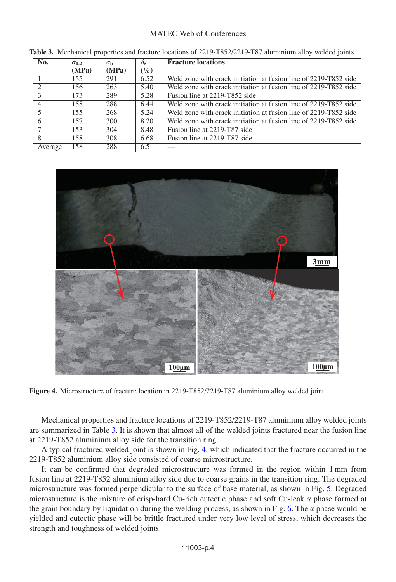#### MATEC Web of Conferences

| No.                      | $\sigma_{0.2}$ | $\sigma_{\bf h}$ | $\delta$ 5 | <b>Fracture locations</b>                                        |
|--------------------------|----------------|------------------|------------|------------------------------------------------------------------|
|                          | (MPa)          | (MPa)            | (%)        |                                                                  |
|                          | 155            | 291              | 6.52       | Weld zone with crack initiation at fusion line of 2219-T852 side |
| $\mathcal{L}$            | 156            | 263              | 5.40       | Weld zone with crack initiation at fusion line of 2219-T852 side |
|                          | 173            | 289              | 5.28       | Fusion line at 2219-T852 side                                    |
| $\overline{4}$           | 158            | 288              | 6.44       | Weld zone with crack initiation at fusion line of 2219-T852 side |
| $\overline{\mathcal{L}}$ | 155            | 268              | 5.24       | Weld zone with crack initiation at fusion line of 2219-T852 side |
| 6                        | 157            | 300              | 8.20       | Weld zone with crack initiation at fusion line of 2219-T852 side |
|                          | 153            | 304              | 8.48       | Fusion line at 2219-T87 side                                     |
| 8                        | 158            | 308              | 6.68       | Fusion line at 2219-T87 side                                     |
| Average                  | 158            | 288              | 6.5        |                                                                  |

<span id="page-3-0"></span>**Table 3.** Mechanical properties and fracture locations of 2219-T852/2219-T87 aluminium alloy welded joints.

<span id="page-3-1"></span>

**Figure 4.** Microstructure of fracture location in 2219-T852/2219-T87 aluminium alloy welded joint.

Mechanical properties and fracture locations of 2219-T852/2219-T87 aluminium alloy welded joints are summarized in Table [3.](#page-3-0) It is shown that almost all of the welded joints fractured near the fusion line at 2219-T852 aluminium alloy side for the transition ring.

A typical fractured welded joint is shown in Fig. [4,](#page-3-1) which indicated that the fracture occurred in the 2219-T852 aluminium alloy side consisted of coarse microstructure.

It can be confirmed that degraded microstructure was formed in the region within 1 mm from fusion line at 2219-T852 aluminium alloy side due to coarse grains in the transition ring. The degraded microstructure was formed perpendicular to the surface of base material, as shown in Fig. [5.](#page-4-0) Degraded microstructure is the mixture of crisp-hard Cu-rich eutectic phase and soft Cu-leak  $\alpha$  phase formed at the grain boundary by liquidation during the welding process, as shown in Fig. [6.](#page-4-1) The  $\alpha$  phase would be yielded and eutectic phase will be brittle fractured under very low level of stress, which decreases the strength and toughness of welded joints.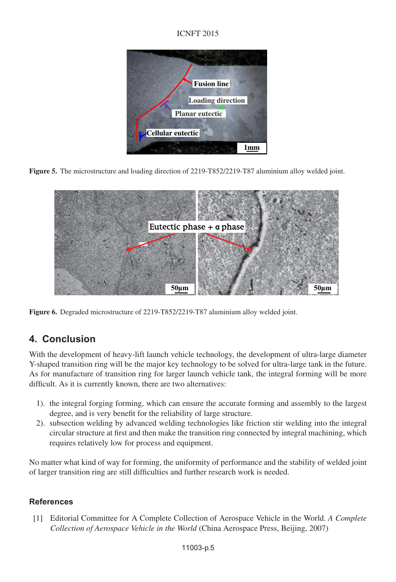### ICNFT 2015

<span id="page-4-0"></span>

**Figure 5.** The microstructure and loading direction of 2219-T852/2219-T87 aluminium alloy welded joint.

<span id="page-4-1"></span>

**Figure 6.** Degraded microstructure of 2219-T852/2219-T87 aluminium alloy welded joint.

# **4. Conclusion**

With the development of heavy-lift launch vehicle technology, the development of ultra-large diameter Y-shaped transition ring will be the major key technology to be solved for ultra-large tank in the future. As for manufacture of transition ring for larger launch vehicle tank, the integral forming will be more difficult. As it is currently known, there are two alternatives:

- 1). the integral forging forming, which can ensure the accurate forming and assembly to the largest degree, and is very benefit for the reliability of large structure.
- 2). subsection welding by advanced welding technologies like friction stir welding into the integral circular structure at first and then make the transition ring connected by integral machining, which requires relatively low for process and equipment.

No matter what kind of way for forming, the uniformity of performance and the stability of welded joint of larger transition ring are still difficulties and further research work is needed.

### **References**

[1] Editorial Committee for A Complete Collection of Aerospace Vehicle in the World. *A Complete Collection of Aerospace Vehicle in the World* (China Aerospace Press, Beijing, 2007)